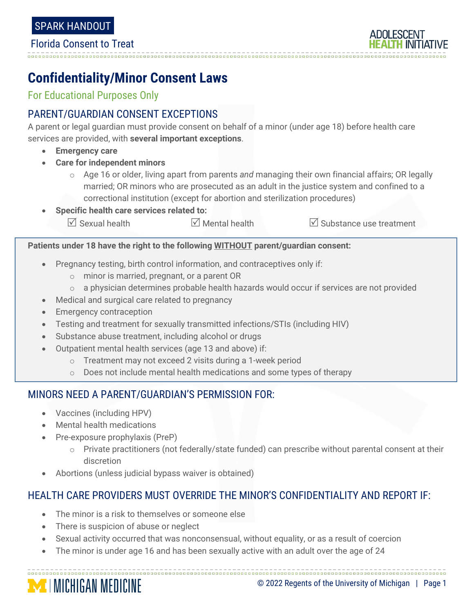

# **Confidentiality/Minor Consent Laws**

For Educational Purposes Only

## PARENT/GUARDIAN CONSENT EXCEPTIONS

A parent or legal guardian must provide consent on behalf of a minor (under age 18) before health care services are provided, with **several important exceptions**.

- **Emergency care**
- **Care for independent minors**
	- o Age 16 or older, living apart from parents *and* managing their own financial affairs; OR legally married; OR minors who are prosecuted as an adult in the justice system and confined to a correctional institution (except for abortion and sterilization procedures)
- **Specific health care services related to:**  $\forall$  Sexual health  $\forall$  Mental health  $\forall$  Substance use treatment

**Patients under 18 have the right to the following WITHOUT parent/guardian consent:**

- Pregnancy testing, birth control information, and contraceptives only if:
	- o minor is married, pregnant, or a parent OR
	- $\circ$  a physician determines probable health hazards would occur if services are not provided
- Medical and surgical care related to pregnancy
- **Emergency contraception**
- Testing and treatment for sexually transmitted infections/STIs (including HIV)
- Substance abuse treatment, including alcohol or drugs
- Outpatient mental health services (age 13 and above) if:
	- o Treatment may not exceed 2 visits during a 1-week period
	- o Does not include mental health medications and some types of therapy

## MINORS NEED A PARENT/GUARDIAN'S PERMISSION FOR:

- Vaccines (including HPV)
- Mental health medications
- Pre-exposure prophylaxis (PreP)
	- o Private practitioners (not federally/state funded) can prescribe without parental consent at their discretion
- Abortions (unless judicial bypass waiver is obtained)

## HEALTH CARE PROVIDERS MUST OVERRIDE THE MINOR'S CONFIDENTIALITY AND REPORT IF:

- The minor is a risk to themselves or someone else
- There is suspicion of abuse or neglect
- Sexual activity occurred that was nonconsensual, without equality, or as a result of coercion

• The minor is under age 16 and has been sexually active with an adult over the age of 24